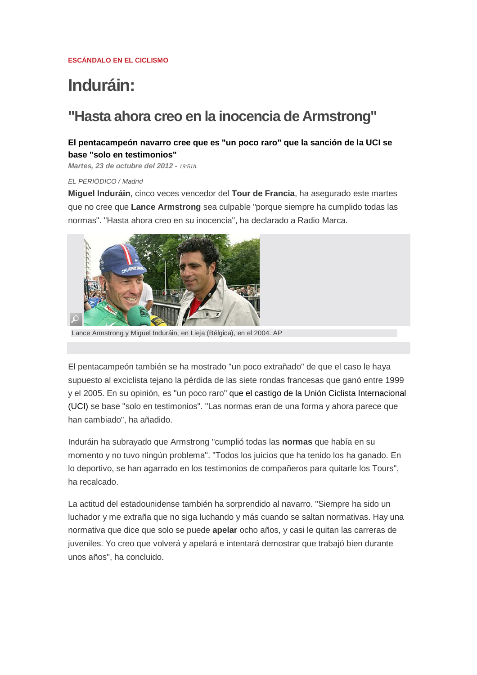# **Induráin:**

# **"Hasta ahora creo en la inocencia de Armstrong"**

#### **El pentacampeón navarro cree que es "un poco raro" que la sanción de la UCI se base "solo en testimonios"**

*Martes, 23 de octubre del 2012 - 19:51h.*

#### *EL PERIÓDICO / Madrid*

**Miguel Induráin**, cinco veces vencedor del **Tour de Francia**, ha asegurado este martes que no cree que **Lance Armstrong** sea culpable "porque siempre ha cumplido todas las normas". "Hasta ahora creo en su inocencia", ha declarado a Radio Marca.



Lance Armstrong y Miguel Induráin, en Lieja (Bélgica), en el 2004. AP

El pentacampeón también se ha mostrado "un poco extrañado" de que el caso le haya supuesto al exciclista tejano la pérdida de las siete rondas francesas que ganó entre 1999 y el 2005. En su opinión, es "un poco raro" que el castigo de la Unión Ciclista Internacional (UCI) se base "solo en testimonios". "Las normas eran de una forma y ahora parece que han cambiado", ha añadido.

Induráin ha subrayado que Armstrong "cumplió todas las **normas** que había en su momento y no tuvo ningún problema". "Todos los juicios que ha tenido los ha ganado. En lo deportivo, se han agarrado en los testimonios de compañeros para quitarle los Tours", ha recalcado.

La actitud del estadounidense también ha sorprendido al navarro. "Siempre ha sido un luchador y me extraña que no siga luchando y más cuando se saltan normativas. Hay una normativa que dice que solo se puede **apelar** ocho años, y casi le quitan las carreras de juveniles. Yo creo que volverá y apelará e intentará demostrar que trabajó bien durante unos años", ha concluido.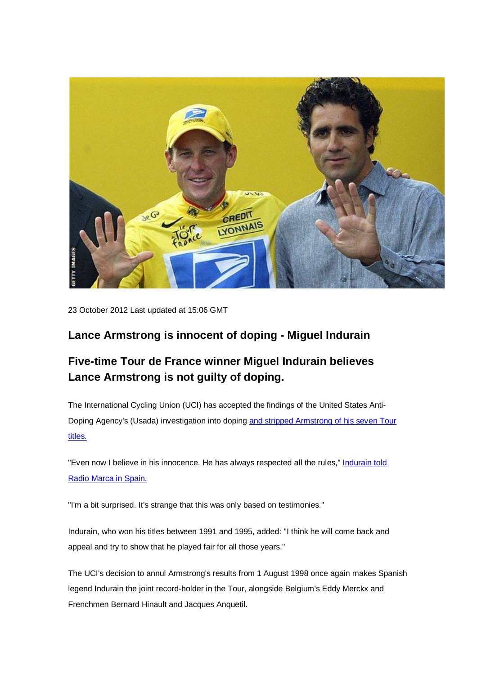

23 October 2012 Last updated at 15:06 GMT

### **Lance Armstrong is innocent of doping - Miguel Indurain**

## **Five-time Tour de France winner Miguel Indurain believes Lance Armstrong is not guilty of doping.**

The International Cycling Union (UCI) has accepted the findings of the United States Anti-Doping Agency's (Usada) investigation into doping and stripped Armstrong of his seven Tour titles.

"Even now I believe in his innocence. He has always respected all the rules," Indurain told Radio Marca in Spain.

"I'm a bit surprised. It's strange that this was only based on testimonies."

Indurain, who won his titles between 1991 and 1995, added: "I think he will come back and appeal and try to show that he played fair for all those years."

The UCI's decision to annul Armstrong's results from 1 August 1998 once again makes Spanish legend Indurain the joint record-holder in the Tour, alongside Belgium's Eddy Merckx and Frenchmen Bernard Hinault and Jacques Anquetil.